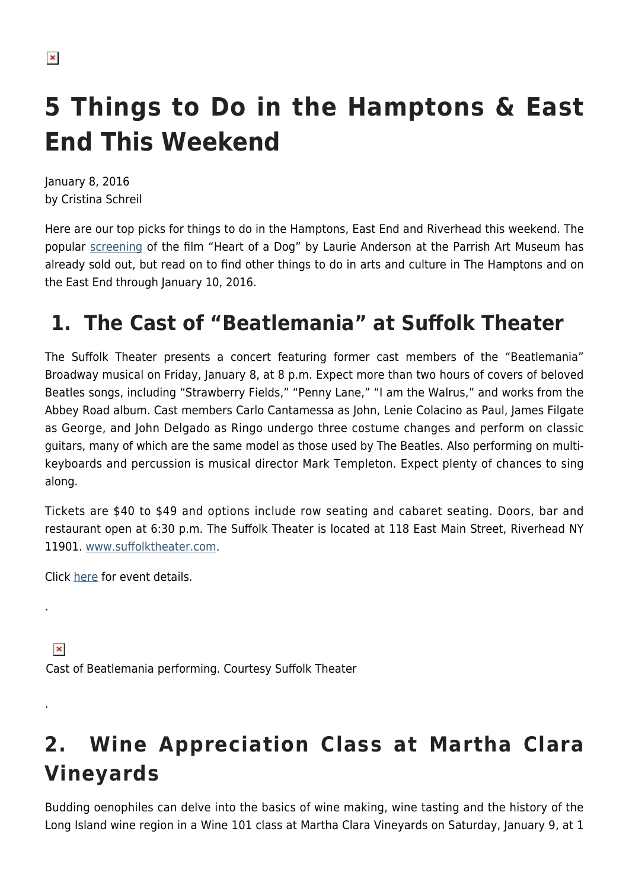# **5 Things to Do in the Hamptons & East End This Weekend**

January 8, 2016 by Cristina Schreil

Here are our top picks for things to do in the Hamptons, East End and Riverhead this weekend. The popular [screening](http://www.parrishart.org/programs/HeartOfADog) of the film "Heart of a Dog" by Laurie Anderson at the Parrish Art Museum has already sold out, but read on to find other things to do in arts and culture in The Hamptons and on the East End through January 10, 2016.

### **1. The Cast of "Beatlemania" at Suffolk Theater**

The Suffolk Theater presents a concert featuring former cast members of the "Beatlemania" Broadway musical on Friday, January 8, at 8 p.m. Expect more than two hours of covers of beloved Beatles songs, including "Strawberry Fields," "Penny Lane," "I am the Walrus," and works from the Abbey Road album. Cast members Carlo Cantamessa as John, Lenie Colacino as Paul, James Filgate as George, and John Delgado as Ringo undergo three costume changes and perform on classic guitars, many of which are the same model as those used by The Beatles. Also performing on multikeyboards and percussion is musical director Mark Templeton. Expect plenty of chances to sing along.

Tickets are \$40 to \$49 and options include row seating and cabaret seating. Doors, bar and restaurant open at 6:30 p.m. The Suffolk Theater is located at 118 East Main Street, Riverhead NY 11901. [www.suffolktheater.com.](http://www.suffolktheater.com/)

Click [here](http://www.suffolktheater.com/event/76c2027c3a61c1e4d85e1ab966556c28) for event details.

.

.

 $\pmb{\times}$ Cast of Beatlemania performing. Courtesy Suffolk Theater

## **2. Wine Appreciation Class at Martha Clara Vineyards**

Budding oenophiles can delve into the basics of wine making, wine tasting and the history of the Long Island wine region in a Wine 101 class at Martha Clara Vineyards on Saturday, January 9, at 1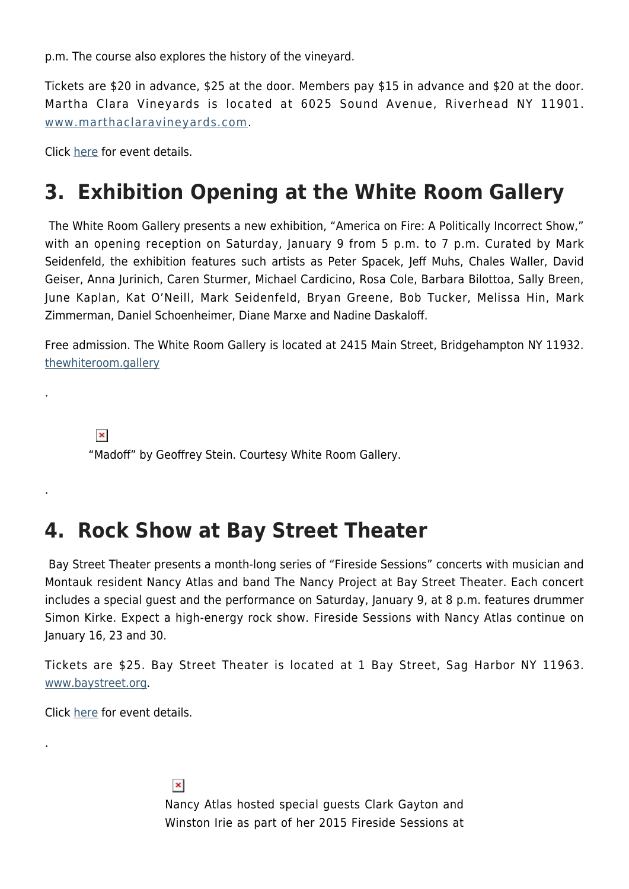p.m. The course also explores the history of the vineyard.

Tickets are \$20 in advance, \$25 at the door. Members pay \$15 in advance and \$20 at the door. Martha Clara Vineyards is located at 6025 Sound Avenue, Riverhead NY 11901. [www.marthaclaravineyards.com.](http://www.marthaclaravineyards.com/)

Click [here](http://marthaclaravineyards.com/event_view.php?eid=408) for event details.

.

.

.

#### **3. Exhibition Opening at the White Room Gallery**

The White Room Gallery presents a new exhibition, "America on Fire: A Politically Incorrect Show," with an opening reception on Saturday, January 9 from 5 p.m. to 7 p.m. Curated by Mark Seidenfeld, the exhibition features such artists as Peter Spacek, Jeff Muhs, Chales Waller, David Geiser, Anna Jurinich, Caren Sturmer, Michael Cardicino, Rosa Cole, Barbara Bilottoa, Sally Breen, June Kaplan, Kat O'Neill, Mark Seidenfeld, Bryan Greene, Bob Tucker, Melissa Hin, Mark Zimmerman, Daniel Schoenheimer, Diane Marxe and Nadine Daskaloff.

Free admission. The White Room Gallery is located at 2415 Main Street, Bridgehampton NY 11932. [thewhiteroom.gallery](http://thewhiteroom.gallery/)

 $\pmb{\times}$ "Madoff" by Geoffrey Stein. Courtesy White Room Gallery.

#### **4. Rock Show at Bay Street Theater**

Bay Street Theater presents a month-long series of "Fireside Sessions" concerts with musician and Montauk resident Nancy Atlas and band The Nancy Project at Bay Street Theater. Each concert includes a special guest and the performance on Saturday, January 9, at 8 p.m. features drummer Simon Kirke. Expect a high-energy rock show. Fireside Sessions with Nancy Atlas continue on January 16, 23 and 30.

Tickets are \$25. Bay Street Theater is located at 1 Bay Street, Sag Harbor NY 11963. [www.baystreet.org](http://www.baystreet.org/).

Click [here](http://www.baystreet.org/calendar/fireside-sessions-with-nancy-atlas-on-saturdays/) for event details.

 $\pmb{\times}$ Nancy Atlas hosted special guests Clark Gayton and Winston Irie as part of her 2015 Fireside Sessions at